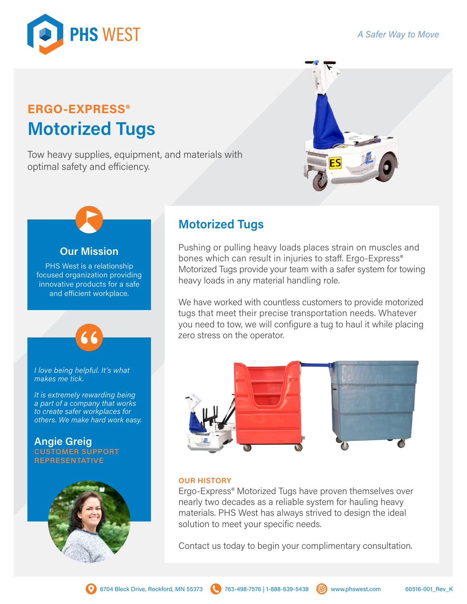### *A Safer Way to Move*



# **ERGO-EXPRESS® Motorized Tugs**

Tow heavy supplies, equipment, and materials with optimal safety and efficiency.



# **Our Mission**

PHS West is a relationship focused organization providing innovative products for a safe and efficient workplace.

*I love being helpful. It's what makes me tick.*

*It is extremely rewarding being a part of a company that works to create safer workplaces for others. We make hard work easy.*

**Angie Greig CUSTOMER SUPPORT REPRESENTATIVE**



## **Motorized Tugs**

Pushing or pulling heavy loads places strain on muscles and bones which can result in injuries to staff. Ergo-Express<sup>®</sup> Motorized Tugs provide your team with a safer system for towing heavy loads in any material handling role.

We have worked with countless customers to provide motorized tugs that meet their precise transportation needs. Whatever you need to tow, we will configure a tug to haul it while placing zero stress on the operator.



### **OUR HISTORY**

Ergo-Express® Motorized Tugs have proven themselves over nearly two decades as a reliable system for hauling heavy materials. PHS West has always strived to design the ideal solution to meet your specific needs.

Contact us today to begin your complimentary consultation.